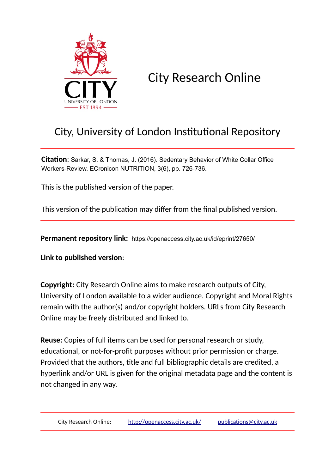

City Research Online

# City, University of London Institutional Repository

**Citation**: Sarkar, S. & Thomas, J. (2016). Sedentary Behavior of White Collar Office Workers-Review. ECronicon NUTRITION, 3(6), pp. 726-736.

This is the published version of the paper.

This version of the publication may differ from the final published version.

**Permanent repository link:** https://openaccess.city.ac.uk/id/eprint/27650/

**Link to published version**:

**Copyright:** City Research Online aims to make research outputs of City, University of London available to a wider audience. Copyright and Moral Rights remain with the author(s) and/or copyright holders. URLs from City Research Online may be freely distributed and linked to.

**Reuse:** Copies of full items can be used for personal research or study, educational, or not-for-profit purposes without prior permission or charge. Provided that the authors, title and full bibliographic details are credited, a hyperlink and/or URL is given for the original metadata page and the content is not changed in any way.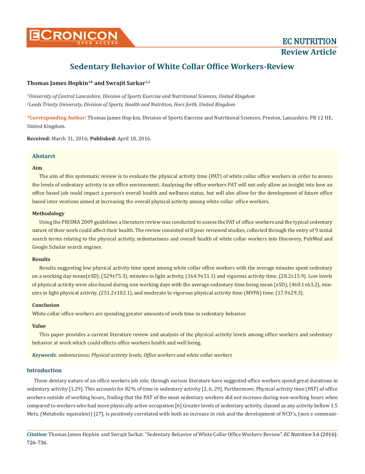

# **Thomas James Hopkin<sup>1</sup>\* and Swrajit Sarkar1,2**

*1 University of Central Lancashire, Division of Sports Exercise and Nutritional Sciences, United Kingdom 2 Leeds Trinity University, Division of Sports, Health and Nutrition, Hors forth, United Kingdom*

**\*Corresponding Author:** Thomas James Hop kin, Division of Sports Exercise and Nutritional Sciences, Preston, Lancashire. PR 12 HE, United Kingdom.

**Received:** March 31, 2016; **Published:** April 18, 2016.

# **Abstarct**

# **Aim**

The aim of this systematic review is to evaluate the physical activity time (PAT) of white collar office workers in order to assess the levels of sedentary activity in an office environment. Analysing the office workers PAT will not only allow an insight into how an office based job could impact a person's overall health and wellness status, but will also allow for the development of future office based inter ventions aimed at increasing the overall physical activity among white collar office workers.

# **Methodology**

Using the PRISMA 2009 guidelines a literature review was conducted to assess the PAT of office workers and the typical sedentary nature of their work could affect their health. The review consisted of 8 peer reviewed studies, collected through the entry of 9 initial search terms relating to the physical activity, sedentariness and overall health of white collar workers into Discovery, PubMed and Google Scholar search engines.

# **Results**

Results suggesting low physical activity time spent among white collar office workers with the average minutes spent sedentary on a working day mean(±SD), (529±75.3), minutes in light activity, (164.9±51.1) and vigorous activity time, (28.2±15.9). Low levels of physical activity were also found during non working days with the average sedentary time being mean  $(\pm SD)$ ,  $(460.1\pm63.2)$ , minutes in light physical activity, (251.2±102.1), and moderate to vigorous physical activity time (MVPA) time, (17.9±29.3).

# **Conclusion**

White collar office workers are spending greater amounts of work time in sedentary behavior.

# **Value**

This paper provides a current literature review and analysis of the physical activity levels among office workers and sedentary behavior at work which could effects office workers health and well being.

*Keywords: sedentariness; Physical activity levels; Office workers and white collar workers*

# **Introduction**

These dentary nature of an office workers job role, through various literature have suggested office workers spend great durations in sedentary activity [1,29]. This accounts for 82% of time in sedentary activity [2, 6, 29]. Furthermore, Physical activity time (PAT) of office workers outside of working hours, finding that the PAT of the most sedentary workers did not increase during non-working hours when compared to workers who had more physically active occupation [6] Greater levels of sedentary activity, classed as any activity bellow 1.5 Mets, (Metabolic equivalent) [27], is positively correlated with both an increase in risk and the development of NCD's, (non e communi-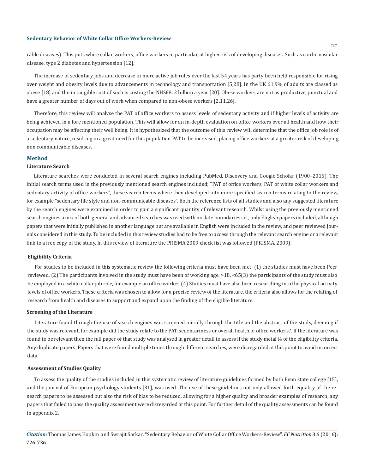cable diseases). This puts white collar workers, office workers in particular, at higher risk of developing diseases. Such as cardio vascular disease, type 2 diabetes and hypertension [12].

The increase of sedentary jobs and decrease in more active job roles over the last 54 years has party been held responsible for rising over weight and obesity levels due to advancements in technology and transportation [5,28]. In the UK 61.9% of adults are classed as obese [18] and the in tangible cost of such is costing the NHS£8. 2 billion a year [20]. Obese workers are not as productive, punctual and have a greater number of days out of work when compared to non-obese workers [2,11,26].

Therefore, this review will analyse the PAT of office workers to assess levels of sedentary activity and if higher levels of activity are being achieved in a fore mentioned population. This will allow for an in-depth evaluation on office workers over all health and how their occupation may be affecting their well being. It is hypothesized that the outcome of this review will determine that the office job role is of a sedentary nature, resulting in a great need for this population PAT to be increased, placing office workers at a greater risk of developing non communicable diseases.

# **Method**

# **Literature Search**

Literature searches were conducted in several search engines including PubMed, Discovery and Google Scholar (1900–2015). The initial search terms used in the previously mentioned search engines included; "PAT of office workers, PAT of white collar workers and sedentary activity of office workers", these search terms where then developed into more specified search terms relating to the review, for example "sedentary life style and non-communicable diseases". Both the reference lists of all studies and also any suggested literature by the search engines were examined in order to gain a significant quantity of relevant research. Whilst using the previously mentioned search engines a mix of both general and advanced searches was used with no date boundaries set, only English papers included, although papers that were initially published in another language but are available in English were included in the review, and peer reviewed journals considered in this study. To be included in this review studies had to be free to access through the relevant search engine or a relevant link to a free copy of the study. In this review of literature the PRISMA 2009 check list was followed (PRISMA, 2009).

#### **Eligibility Criteria**

For studies to be included in this systematic review the following criteria must have been met; (1) the studies must have been Peer reviewed. (2) The participants involved in the study must have been of working age, >18, <65(3) the participants of the study must also be employed in a white collar job role, for example an office worker. (4) Studies must have also been researching into the physical activity levels of office workers. These criteria was chosen to allow for a precise review of the literature, the criteria also allows for the relating of research from health and diseases to support and expand upon the finding of the eligible literature.

#### **Screening of the Literature**

Literature found through the use of search engines was screened initially through the title and the abstract of the study, deeming if the study was relevant, for example did the study relate to the PAT, sedentariness or overall health of office workers?. If the literature was found to be relevant then the full paper of that study was analysed in greater detail to assess if the study metal l4 of the eligibility criteria. Any duplicate papers, Papers that were found multiple times through different searches, were disregarded at this point to avoid incorrect data.

#### **Assessment of Studies Quality**

To assess the quality of the studies included in this systematic review of literature guidelines formed by both Penn state college [15], and the journal of European psychology students [31], was used. The use of these guidelines not only allowed forth equality of the research papers to be assessed but also the risk of bias to be reduced, allowing for a higher quality and broader examples of research, any papers that failed to pass the quality assessment were disregarded at this point. For further detail of the quality assessments can be found in appendix 2.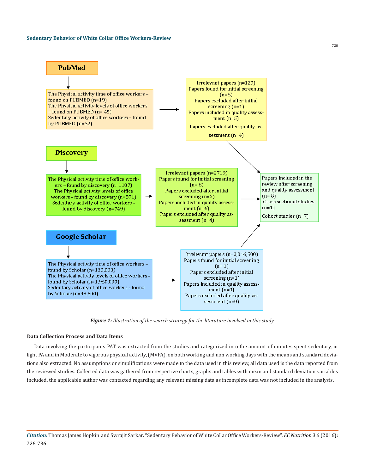

*Figure 1: Illustration of the search strategy for the literature involved in this study.*

## **Data Collection Process and Data Items**

Data involving the participants PAT was extracted from the studies and categorized into the amount of minutes spent sedentary, in light PA and in Moderate to vigorous physical activity, (MVPA), on both working and non working days with the means and standard deviations also extracted. No assumptions or simplifications were made to the data used in this review, all data used is the data reported from the reviewed studies. Collected data was gathered from respective charts, graphs and tables with mean and standard deviation variables included, the applicable author was contacted regarding any relevant missing data as incomplete data was not included in the analysis.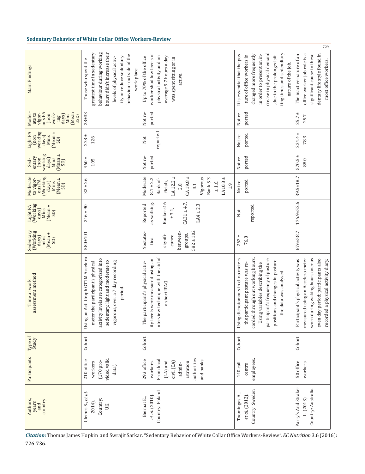|                                                                                                  |                                                                                                                                                                                                                  |                                                                                                                                                             |                                                                                                                                                                                                                                                | 729                                                                                                                                                                                           |
|--------------------------------------------------------------------------------------------------|------------------------------------------------------------------------------------------------------------------------------------------------------------------------------------------------------------------|-------------------------------------------------------------------------------------------------------------------------------------------------------------|------------------------------------------------------------------------------------------------------------------------------------------------------------------------------------------------------------------------------------------------|-----------------------------------------------------------------------------------------------------------------------------------------------------------------------------------------------|
| Main Findings                                                                                    | behaviour during working<br>hours didn't increase their<br>greatest time in sedentary<br>behaviour out side of the<br>ity or reduce sedentary<br>levels of physical activ-<br>Those who spent the<br>work place. | worker shad low levels of<br>physical activity and on<br>average 9.7 hours a day<br>Up to 70% of the office<br>was spent sitting or in<br>active.           | It is essential that the pos-<br>crease in physical demand<br>ting times and sedendtary<br>due to the prolonged sit-<br>changed more frequently<br>in order to present an in-<br>ture of office workers is<br>nature of the job.               | office worker job role is a<br>dentary life style found in<br>significant cause to these<br>The inactive nature of an<br>most office workers.                                                 |
| ous PA<br>Moder-<br>(Mean<br>vigor-<br>work-<br>ate to<br>(non<br>ing<br>days)<br>Mins<br>$(15+$ | $28 + 33$                                                                                                                                                                                                        | Not re-<br>ported                                                                                                                                           | Not re-<br>ported                                                                                                                                                                                                                              | $+$<br>25.7<br>25.7                                                                                                                                                                           |
| working<br>Light PA<br>$(Mean \pm$<br>days)<br>non)<br>Mins<br>SD)                               | $^{+1}$<br>126<br>278                                                                                                                                                                                            | reported<br>Not                                                                                                                                             | Not re-<br>ported                                                                                                                                                                                                                              | $^{\mathrm{+}}$<br>224.4<br>78.3                                                                                                                                                              |
| working<br>Mean ±<br>entary<br>(non<br>days)<br>Mins<br>Sed-<br>SD)                              | $460 \pm$<br>105                                                                                                                                                                                                 | ported<br>Not re-                                                                                                                                           | Not re-<br>ported                                                                                                                                                                                                                              | $^{\mathrm{+}}$<br>570.5<br>88.0                                                                                                                                                              |
| (Working<br>Moderate<br>to vigor-<br>Mean ±<br>ous PA<br>days)<br>Mins<br>SD)                    | ± 26<br>32                                                                                                                                                                                                       | LA 12.2 $\pm$<br>CA 19.8 $\pm$<br>Moderate<br>Vigorous<br>$LA10.8 \pm$<br>Bank 5.3<br>$8.1 \pm 2.2$<br>Bank of-<br>ficials,<br>± 1.6,<br>2.0,<br>3.1<br>1.9 | ported<br>Not re-                                                                                                                                                                                                                              | 39.5±18.7                                                                                                                                                                                     |
| Light PA<br>(Working<br>$(Mean \pm SD)$<br>days)<br>Nins                                         | $246 \pm 90$                                                                                                                                                                                                     | Bankers16<br>as walking<br>$C_A31 \pm 4.7$<br>Reported<br>$LA4 \pm 2.3$<br>3.1<br>$+1$                                                                      | reported<br>Not                                                                                                                                                                                                                                | $176.9 \pm 52.6$                                                                                                                                                                              |
| Sedentary<br>(Working<br>[Mean ±<br>days)<br>mins<br>SD)                                         | 580±101                                                                                                                                                                                                          | $582 \pm 102$<br>between<br>Nostatis-<br>signifi-<br>groups,<br>cance<br>tical                                                                              | $262 \pm$<br>76.8                                                                                                                                                                                                                              | 676±58.7                                                                                                                                                                                      |
| assessment method<br>Time at work                                                                | Using an Acti Graph GT1M Accelero<br>activity levels are categorized into<br>sedentary, light and moderate to<br>vigorous, over a 7 day recording<br>meter the participant's physical<br>period.                 | interview technique with the aid of<br>ity levels were measured using an<br>The participant's physical activ-<br>a short IPAQ.                              | Using dichotomous in clino meters<br>corded through out working hours.<br>participant's frequency of posture<br>positions and changes in posture<br>the participant posture was re-<br>Using variables describing the<br>the data was analysed | measured using an Accelero meter<br>worn during waking hours over as<br>Participant's physical activity was<br>even day period; participants also<br>led a physical activity diary.<br>record |
| Type of<br>Study                                                                                 | Cohort                                                                                                                                                                                                           | Cohort                                                                                                                                                      | Cohort                                                                                                                                                                                                                                         | Cohort                                                                                                                                                                                        |
| Participants                                                                                     | vided valid<br>210 office<br>(170 pro-<br>workers<br>data).                                                                                                                                                      | authorities<br>From local<br>and banks.<br>293 office<br>$(LA)$ and<br>civil (CA)<br>istration<br>workers.<br>admin-                                        | employees.<br>140 call<br>centre                                                                                                                                                                                                               | 50 office<br>workers.                                                                                                                                                                         |
| country<br>Authors,<br>years<br>and                                                              | Clemes S., et al.<br>Country:<br>2014).<br>UK                                                                                                                                                                    | Country: Poland<br>et al. (2010).<br>Biernat E.,                                                                                                            | Country: Sweden<br>Toomingas A.,<br>et al. (2012).                                                                                                                                                                                             | Parry's And Straker<br>Country: Australia<br>L(2013)                                                                                                                                          |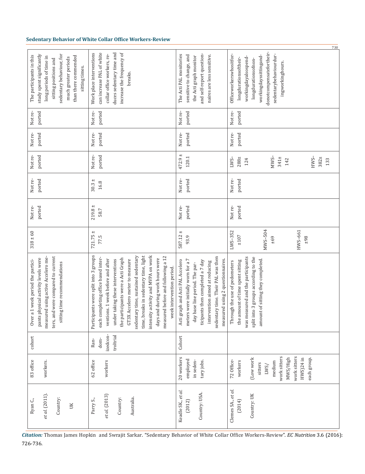|                                                                                                                                                                                                         |                                                                                                                                                                                                                                                                                                                                                                                                                                                            |                                                                                                                                                                                                                                                          | 730                                                                                                                                                                                                 |
|---------------------------------------------------------------------------------------------------------------------------------------------------------------------------------------------------------|------------------------------------------------------------------------------------------------------------------------------------------------------------------------------------------------------------------------------------------------------------------------------------------------------------------------------------------------------------------------------------------------------------------------------------------------------------|----------------------------------------------------------------------------------------------------------------------------------------------------------------------------------------------------------------------------------------------------------|-----------------------------------------------------------------------------------------------------------------------------------------------------------------------------------------------------|
| sedentary behaviour, for<br>study spent significantly<br>than there commended<br>The participants in this<br>long periods of time in<br>much greater periods<br>sitting positions and<br>sitting times. | increase the frequency of<br>Work place interventions<br>can increase PAL of white<br>duces sedentary time and<br>collar office workers, re-<br>breaks.                                                                                                                                                                                                                                                                                                    | and self-report question-<br>The Acti PAL monitories<br>sensitive to change, and<br>naires are less sensitive.<br>the Acti graph monitor                                                                                                                 | donotcompensatefortheir-<br>sedentarybehaviourdur-<br>Officeworkerswhositfor-<br>workingdayssittingand-<br>workingdayalsospend-<br>longdurationsoftheir-<br>longdurationsofnon-<br>ingworkinghours. |
| Not re-<br>ported                                                                                                                                                                                       | ported<br>Not re-                                                                                                                                                                                                                                                                                                                                                                                                                                          | ported<br>Not re-                                                                                                                                                                                                                                        | Not re-<br>ported                                                                                                                                                                                   |
| ported<br>Not re-                                                                                                                                                                                       | Not re-<br>ported                                                                                                                                                                                                                                                                                                                                                                                                                                          | ported<br>Not re-                                                                                                                                                                                                                                        | ported<br>Not re-                                                                                                                                                                                   |
| ported<br>Not re-                                                                                                                                                                                       | Not re-<br>ported                                                                                                                                                                                                                                                                                                                                                                                                                                          | $+1$<br>120.1<br>472.9                                                                                                                                                                                                                                   | $MWS-$<br>$HWS-$<br>$341 \pm$<br>382±<br>$288 +$<br>$LWS-$<br>124<br>142<br>133                                                                                                                     |
| ported<br>Not re-                                                                                                                                                                                       | $30.3 \pm$<br>16.8                                                                                                                                                                                                                                                                                                                                                                                                                                         | ported<br>Not re-                                                                                                                                                                                                                                        | ported<br>Not re-                                                                                                                                                                                   |
| ported<br>Not re-                                                                                                                                                                                       | $219.8 \pm$<br>58.7                                                                                                                                                                                                                                                                                                                                                                                                                                        | ported<br>Not re-                                                                                                                                                                                                                                        | ported<br>Not re-                                                                                                                                                                                   |
| $318 \pm 60$                                                                                                                                                                                            | $721.75 \pm$<br>77.5                                                                                                                                                                                                                                                                                                                                                                                                                                       | $+1$<br>587.12<br>93.9                                                                                                                                                                                                                                   | MWS-504<br>HWS-661<br>LWS-352<br>$\pm 107$<br>$+69$<br>$\pm 98$                                                                                                                                     |
| ters, and were compared to current<br>measured using active Accelero me-<br>pants physical activity levels were<br>Over a 1 week period the partici-<br>sitting time recommendations                    | intensity activity and MVPA on work<br>Participants were split into 3 groups<br>time, breaks in sedentary time, light<br>sedentary time, sustained sedentary<br>measured before and following a 12<br>the participants were a Acti Graph<br>each completing office based inter-<br>days and during work hours were<br>GT3X Accelero meter to measure<br>under taking these interventions<br>ventions. 1 week before and after<br>week intervention period. | sedentary time. Their PAL was then<br>measured using 2 questionnaires.<br>meters were initially worn for a 7<br>Acti graph and Acti PAL Accelero<br>ticipants then completed a 7 day<br>intervention aimed at reducing<br>day base line period. The par- | was measured and the participants<br>split into 3 groups according to the<br>amount of sitting they completed.<br>the amount of time spent sitting<br>Through the use of pedometers                 |
| cohort                                                                                                                                                                                                  | izedcon-<br>troltrial<br>dom-<br>Ran-                                                                                                                                                                                                                                                                                                                                                                                                                      | Cohort                                                                                                                                                                                                                                                   |                                                                                                                                                                                                     |
| 83 office<br>workers.                                                                                                                                                                                   | 62 office<br>workers                                                                                                                                                                                                                                                                                                                                                                                                                                       | 20 workers<br>employed<br>in seden-<br>tary jobs.                                                                                                                                                                                                        | work sitters<br>work sitters<br>(Low work<br>MWS/High<br>each group.<br>HWS)24 in<br>72 Office-<br>workers<br>medium<br>sitters<br>LWS/                                                             |
| et al. (2011).<br>Country:<br>Ryan C.,<br>UK                                                                                                                                                            | et al. (2013)<br>Australia.<br>Country:<br>Parry S.,                                                                                                                                                                                                                                                                                                                                                                                                       | Keadle SK, et al.<br>Country: USA.<br>(2012)                                                                                                                                                                                                             | Clemes SA., et al.<br>Country: UK<br>(2014)                                                                                                                                                         |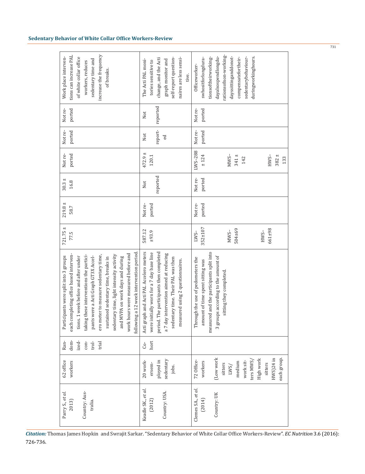| increase the frequency<br>tions can increase PAL<br>Work place interven-<br>of white collar office<br>sedentary time and<br>workers, reduces<br>of breaks.                                                                                                                                                                                                                                                                                                     | self-report question-<br>naires are less sensi-<br>change, and the Acti<br>The Acti PAL moni-<br>graph monitor and<br>tories sensitive to<br>tive.                                                                                                  | rationsofnon-working-<br>dayalsospendlongdu-<br>dayssittinganddonot-<br>duringworkinghours.<br>sedentarybehaviour-<br>tionsoftheirworking-<br>compensatefortheir-<br>swhositforlongdura-<br>Officeworker- |
|----------------------------------------------------------------------------------------------------------------------------------------------------------------------------------------------------------------------------------------------------------------------------------------------------------------------------------------------------------------------------------------------------------------------------------------------------------------|-----------------------------------------------------------------------------------------------------------------------------------------------------------------------------------------------------------------------------------------------------|-----------------------------------------------------------------------------------------------------------------------------------------------------------------------------------------------------------|
| Not re-<br>ported                                                                                                                                                                                                                                                                                                                                                                                                                                              | reported<br>Not                                                                                                                                                                                                                                     | Not re-<br>ported                                                                                                                                                                                         |
| Not re-<br>ported                                                                                                                                                                                                                                                                                                                                                                                                                                              | report-<br>Not<br>ed                                                                                                                                                                                                                                | ported<br>Not re-                                                                                                                                                                                         |
| ported<br>Not re-                                                                                                                                                                                                                                                                                                                                                                                                                                              | $472.9 +$<br>120.1                                                                                                                                                                                                                                  | LWS-288<br>$MWS-$<br>$HWS-$<br>± 124<br>$341 \pm$<br>$382 \pm$<br>133<br>142                                                                                                                              |
| $30.3 \pm$<br>16.8                                                                                                                                                                                                                                                                                                                                                                                                                                             | reported<br>Not                                                                                                                                                                                                                                     | Not re-<br>ported                                                                                                                                                                                         |
| $219.8 \pm$<br>58.7                                                                                                                                                                                                                                                                                                                                                                                                                                            | Not re-<br>ported                                                                                                                                                                                                                                   | Not re-<br>ported                                                                                                                                                                                         |
| $721.75 \pm$<br>77.5                                                                                                                                                                                                                                                                                                                                                                                                                                           | 587.12<br>±93.9                                                                                                                                                                                                                                     | $352 \pm 107$<br>$661 + 98$<br>504±69<br>$MWS-$<br>$HWS-$<br>$LWS-$                                                                                                                                       |
| following a 12 week intervention period.<br>work hours were measured before and<br>each completing office based interven-<br>sedentary time, light intensity activity<br>taking these interventions the partici-<br>ero meter to measure sedentary time,<br>pants were a Acti Graph GT3X Accel-<br>Participants were split into 3 groups<br>tions. 1 week before and after under<br>sustained sedentary time, breaks in<br>MVPA on work days and during<br>and | Acti graph and Acti PAL Accelero meters<br>were initially worn for a 7 day base line<br>period. The participants then completed<br>a 7 day intervention aimed at reducing<br>sedentary time. Their PAL was then<br>measured using 2 questionnaires. | measured and the participants split into<br>3 groups according to the amount of<br>Through the use of pedometers the<br>amount of time spent sitting was<br>sitting they completed                        |
| dom-<br>ized-<br>Ran-<br>$con-$<br>trol-<br>trial                                                                                                                                                                                                                                                                                                                                                                                                              | hort<br>Ġ-                                                                                                                                                                                                                                          |                                                                                                                                                                                                           |
| 62 office<br>workers                                                                                                                                                                                                                                                                                                                                                                                                                                           | sedentary<br>ployed in<br>20 work-<br>ersem-<br>jobs.                                                                                                                                                                                               | each group.<br>(Low work<br>$HWS$ ) $24$ in<br>High work<br>72 Office-<br>ters MWS<br>work sit-<br>workers<br>medium<br>sitters<br>sitters<br>LWS/                                                        |
| Country: Aus-<br>Parry S., et al.<br>tralia.<br>2013)                                                                                                                                                                                                                                                                                                                                                                                                          | Keadle SK., et al.<br>Country: USA.<br>(2012)                                                                                                                                                                                                       | Clemes SA., et al.<br>Country: UK<br>(2014)                                                                                                                                                               |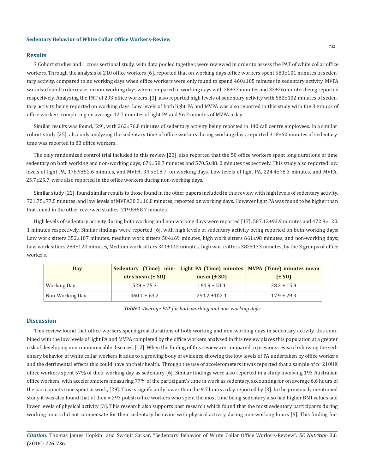## **Results**

7 Cohort studies and 1 cross sectional study, with data pooled together, were reviewed in order to assess the PAT of white collar office workers. Through the analysis of 210 office workers [6], reported that on working days office workers spent 580±101 minutes in sedentary activity, compared to no working days when office workers were only found to spend 460±105 minutes in sedentary activity. MVPA was also found to decrease on non-working days when compared to working days with 28±33 minutes and 32±26 minutes being reported respectively. Analyzing the PAT of 293 office workers, [3], also reported high levels of sedentary activity with 582±102 minutes of sedentary activity being reported on working days. Low levels of both light PA and MVPA was also reported in this study with the 3 groups of office workers completing on average 12.7 minutes of light PA and 56.2 minutes of MVPA a day.

Similar results was found, [29], with 262±76.8 minutes of sedentary activity being reported in 140 call centre employees. In a similar cohort study [25], also only analyzing the sedentary time of office workers during working days, reported  $318\pm60$  minutes of sedentary time was reported in 83 office workers.

The only randomized control trial included in this review [23], also reported that the 50 office workers spent long durations of time sedentary on both working and non-working days, 676±58.7 minutes and 570.5±88. 0 minutes respectively. This study also reported low levels of light PA, 176.9±52.6 minutes, and MVPA, 39.5±18.7, on working days. Low levels of light PA, 224.4±78.3 minutes, and MVPA, 25.7±25.7, were also reported in the office workers during non-working days.

Similar study [22], found similar results to those found in the other papers included in this review with high levels of sedentary activity, 721.75±77.5 minutes, and low levels of MVPA30.3±16.8 minutes, reported on working days. However light PA was found to be higher than that found in the other reviewed studies, 219.8±58.7 minutes.

High levels of sedentary activity during both working and non working days were reported [17], 587.12±93.9 minutes and 472.9±120. 1 minutes respectively. Similar findings were reported [6], with high levels of sedentary activity being reported on both working days; Low work sitters 352±107 minutes, medium work sitters 504±69 minutes, high work sitters 661±98 minutes, and non-working days; Low work sitters 288±124 minutes, Medium work sitters 341±142 minutes, high work sitters 382±133 minutes, by the 3 groups of office workers.

| Day             |                      |                   | Sedentary (Time) min- Light PA (Time) minutes MVPA (Time) minutes mean |
|-----------------|----------------------|-------------------|------------------------------------------------------------------------|
|                 | utes mean $(\pm SD)$ | mean $(\pm SD)$   | $(\pm SD)$                                                             |
| Working Day     | $529 \pm 75.3$       | $164.9 \pm 51.1$  | $28.2 \pm 15.9$                                                        |
| Non-Working Day | $460.1 \pm 63.2$     | $251.2 \pm 102.1$ | $17.9 \pm 29.3$                                                        |

## *Table2 :Average PAT for both working and non-working days.*

# **Discussion**

This review found that office workers spend great durations of both working and non-working days in sedentary activity, this combined with the low levels of light PA and MVPA completed by the office workers analysed in this review places this population at a greater risk of developing non communicable diseases, [12]. When the finding of this review are compared to previous research showing the sedentary behavior of white collar workers it adds to a growing body of evidence showing the low levels of PA undertaken by office workers and the detrimental effects this could have on their health. Through the use of accelerometers it was reported that a sample of n=210UK office workers spent 57% of their working day as sedentary [6]. Similar findings were also reported in a study involving 193 Australian office workers, with accelerometers measuring 77% of the participant's time in work as sedentary, accounting for on average 6.6 hours of the participants time spent at work, [29]. This is significantly lower than the 9.7 hours a day reported by [3]. In the previously mentioned study it was also found that of then = 293 polish office workers who spent the most time being sedentary also had higher BMI values and lower levels of physical activity [3]. This research also supports past research which found that the most sedentary participants during working hours did not compensate for their sedentary behavior with physical activity during non-working hours [6]. This finding fur-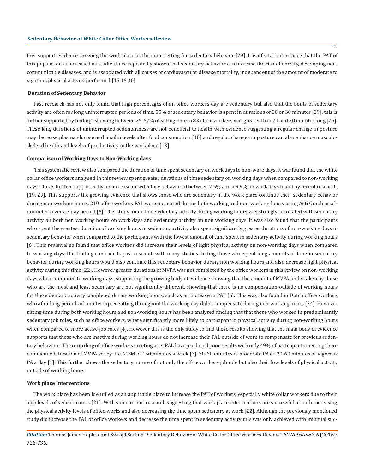ther support evidence showing the work place as the main setting for sedentary behavior [29]. It is of vital importance that the PAT of this population is increased as studies have repeatedly shown that sedentary behavior can increase the risk of obesity, developing noncommunicable diseases, and is associated with all causes of cardiovascular disease mortality, independent of the amount of moderate to vigorous physical activity performed [15,16,30].

# **Duration of Sedentary Behavior**

Past research has not only found that high percentages of an office workers day are sedentary but also that the bouts of sedentary activity are often for long uninterrupted periods of time. 55% of sedentary behavior is spent in durations of 20 or 30 minutes [29], this is further supported by findings showing between 25-67% of sitting time in 83 office workers was greater than 20 and 30 minutes long [25]. These long durations of uninterrupted sedentariness are not beneficial to health with evidence suggesting a regular change in posture may decrease plasma glucose and insulin levels after food consumption [10] and regular changes in posture can also enhance musculoskeletal health and levels of productivity in the workplace [13].

#### **Comparison of Working Days to Non-Working days**

This systematic review also compared the duration of time spent sedentary on work days to non-work days, it was found that the white collar office workers analysed In this review spent greater durations of time sedentary on working days when compared to non-working days. This is further supported by an increase in sedentary behavior of between 7.5% and a 9.9% on work days found by recent research, [19, 29]. This supports the growing evidence that shows those who are sedentary in the work place continue their sedentary behavior during non-working hours. 210 office workers PAL were measured during both working and non-working hours using Acti Graph accelerometers over a 7 day period [6]. This study found that sedentary activity during working hours was strongly correlated with sedentary activity on both non working hours on work days and sedentary activity on non working days, it was also found that the participants who spent the greatest duration of working hours in sedentary activity also spent significantly greater durations of non-working days in sedentary behavior when compared to the participants with the lowest amount of time spent in sedentary activity during working hours [6]. This reviewal so found that office workers did increase their levels of light physical activity on non-working days when compared to working days, this finding contradicts past research with many studies finding those who spent long amounts of time in sedentary behavior during working hours would also continue this sedentary behavior during non working hours and also decrease light physical activity during this time [22]. However greater durations of MVPA was not completed by the office workers in this review on non-working days when compared to working days, supporting the growing body of evidence showing that the amount of MVPA undertaken by those who are the most and least sedentary are not significantly different, showing that there is no compensation outside of working hours for these dentary activity completed during working hours, such as an increase in PAT [6]. This was also found in Dutch office workers who after long periods of uninterrupted sitting throughout the working day didn't compensate during non-working hours [24]. However sitting time during both working hours and non-working hours has been analysed finding that that those who worked in predominantly sedentary job roles, such as office workers, where significantly more likely to participant in physical activity during non-working hours when compared to more active job roles [4]. However this is the only study to find these results showing that the main body of evidence supports that those who are inactive during working hours do not increase their PAL outside of work to compensate for previous sedentary behaviour. The recording of office workers meeting a set PAL have produced poor results with only 49% of participants meeting there commended duration of MVPA set by the ACSM of 150 minutes a week [3], 30-60 minutes of moderate PA or 20-60 minutes or vigorous PA a day [1]. This further shows the sedentary nature of not only the office workers job role but also their low levels of physical activity outside of working hours.

#### **Work place Interventions**

The work place has been identified as an applicable place to increase the PAT of workers, especially white collar workers due to their high levels of sedentariness [21]. With some recent research suggesting that work place interventions are successful at both increasing the physical activity levels of office works and also decreasing the time spent sedentary at work [22]. Although the previously mentioned study did increase the PAL of office workers and decrease the time spent in sedentary activity this was only achieved with minimal suc-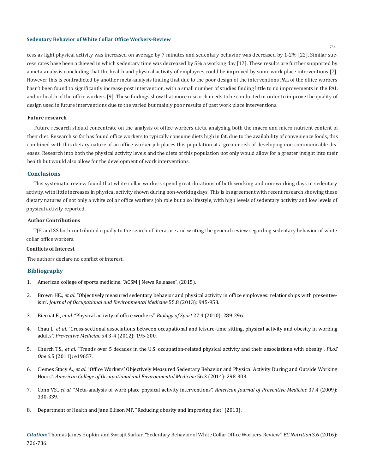cess as light physical activity was increased on average by 7 minutes and sedentary behavior was decreased by 1-2% [22]. Similar success rates have been achieved in which sedentary time was decreased by 5% a working day [17]. These results are further supported by a meta-analysis concluding that the health and physical activity of employees could be improved by some work place interventions [7]. However this is contradicted by another meta-analysis finding that due to the poor design of the interventions PAL of the office workers hasn't been found to significantly increase post intervention, with a small number of studies finding little to no improvements in the PAL and or health of the office workers [9]. These findings show that more research needs to be conducted in order to improve the quality of design used in future interventions due to the varied but mainly poor results of past work place interventions.

## **Future research**

Future research should concentrate on the analysis of office workers diets, analyzing both the macro and micro nutrient content of their diet. Research so far has found office workers to typically consume diets high in fat, due to the availability of convenience foods, this combined with this dietary nature of an office worker job places this population at a greater risk of developing non communicable diseases. Research into both the physical activity levels and the diets of this population not only would allow for a greater insight into their health but would also allow for the development of work interventions.

## **Conclusions**

This systematic review found that white collar workers spend great durations of both working and non-working days in sedentary activity, with little increases in physical activity shown during non-working days. This is in agreement with recent research showing these dietary natures of not only a white collar office workers job role but also lifestyle, with high levels of sedentary activity and low levels of physical activity reported.

# **Author Contributions**

TJH and SS both contributed equally to the search of literature and writing the general review regarding sedentary behavior of white collar office workers.

# **Conflicts of Interest**

The authors declare no conflict of interest.

# **Bibliography**

- 1. American college of sports medicine. "ACSM | News Releases". (2015).
- 2. Brown HE., *et al.* ["Objectively measured sedentary behavior and physical activity in office employees: relationships with presentee](http://www.ncbi.nlm.nih.gov/pubmed/23887700)ism". *[Journal of Occupational and Environmental Medicine](http://www.ncbi.nlm.nih.gov/pubmed/23887700)* 55.8 (2013): 945-953.
- 3. Biernat E., *et al.* ["Physical activity of office workers".](http://biolsport.com/fulltxt.php?ICID=927495) *Biology of Sport* 27.4 (2010): 289-296.
- 4. Chau J., *et al.* ["Cross-sectional associations between occupational and leisure-time sitting, physical activity and obesity in working](http://www.ncbi.nlm.nih.gov/pubmed/22227284) adults". *Preventive Medicine* [54.3-4 \(2012\): 195-200.](http://www.ncbi.nlm.nih.gov/pubmed/22227284)
- 5. Church TS., *et al.* "Trends over 5 decades in the U.S. occupation-related physical activity and their associations with obesity". *PLoS One* 6.5 (2011): e19657.
- 6. Clemes Stacy A., *et al.* "Office Workers' Objectively Measured Sedentary Behavior and Physical Activity During and Outside Working Hours". *American College of Occupational and Environmental Medicine* 56.3 (2014): 298-303.
- 7. Conn VS., *et al.* "Meta-analysis of work place physical activity interventions". *American Journal of Preventive Medicine* 37.4 (2009): 330-339.
- 8. [Department of Health and Jane Ellison MP. "Reducing obesity and improving diet" \(2013\).](https://www.gov.uk/government/policies/reducing-obesity-and-improving-diet)

*Citation:* Thomas James Hopkin and Swrajit Sarkar. "Sedentary Behavior of White Collar Office Workers-Review". *EC Nutrition* 3.6 (2016): 726-736.

734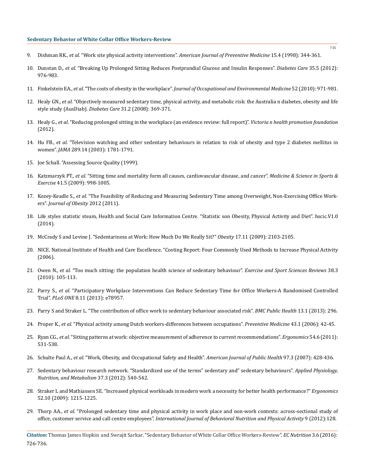- 9. Dishman RK., *et al.* "Work site physical activity interventions". *American Journal of Preventive Medicine* 15.4 (1998): 344-361.
- 10. Dunstan D., *et al.* "Breaking Up Prolonged Sitting Reduces Postprandial Glucose and Insulin Responses". *Diabetes Care* 35.5 (2012): 976-983.
- 11. Finkelstein EA., *et al.* "The costs of obesity in the workplace". *Journal of Occupational and Environmental Medicine* 52 (2010): 971-981.
- 12. Healy GN., *et al.* "Objectively measured sedentary time, physical activity, and metabolic risk: the Australia n diabetes, obesity and life style study (AusDiab). *Diabetes Care* 31.2 (2008): 369-371.
- 13. Healy G., *et al.* "Reducing prolonged sitting in the workplace (an evidence review: full report)". *Victoria n health promotion foundation*  (2012).
- 14. Hu FB., *et al.* ["Television watching and other sedentary behaviours in relation to risk of obesity and type 2 diabetes mellitus in](http://www.ncbi.nlm.nih.gov/pubmed/12684356)  women". *JAMA* [289.14 \(2003\): 1781-1791.](http://www.ncbi.nlm.nih.gov/pubmed/12684356)
- 15. [Joe Schall. "Assessing Source Quality \(1999\).](https://www.e-education.psu.edu/style%20forstudents/c5_p3.html.Lastaccessed13/06/2015)
- 16. Katzmarzyk PT., *et al.* ["Sitting time and mortality form all causes, cardiovascular disease, and cancer".](http://www.ncbi.nlm.nih.gov/pubmed/19346988) *Medicine & Science in Sports & Exercise* [41.5 \(2009\): 998-1005.](http://www.ncbi.nlm.nih.gov/pubmed/19346988)
- 17. Kozey-Keadle S., *et al.* ["The Feasibility of Reducing and Measuring Sedentary Time among Overweight, Non-Exercising Office Work](http://www.hindawi.com/journals/jobe/2012/282303/)ers". *[Journal of Obesity](http://www.hindawi.com/journals/jobe/2012/282303/)* 2012 (2011).
- 18. [Life styles statistic steam, Health and Social Care Information Centre. "Statistic son Obesity, Physical Activity and Diet". hscic.V1.0](http://www.hscic.gov.uk/catalogue/PUB16988/obes-phys-acti-diet-eng-2015.pdf) [\(2014\).](http://www.hscic.gov.uk/catalogue/PUB16988/obes-phys-acti-diet-eng-2015.pdf)
- 19. [McCrady S and Levine J. "Sedentariness at Work: How Much Do We Really Sit?"](http://www.ncbi.nlm.nih.gov/pubmed/19390526/) *Obesity* 17.11 (2009): 2103-2105.
- 20. [NICE. National Institute of Health and Care Excellence. "Costing Report: Four Commonly Used Methods to Increase Physical Activity](http://www.nice.org.uk/nicemedia/live/11373/31847/31847.pd)  [\(2006\).](http://www.nice.org.uk/nicemedia/live/11373/31847/31847.pd)
- 21. Owen N., *et al.* ["Too much sitting: the population health science of sedentary behaviour".](http://www.ncbi.nlm.nih.gov/pubmed/20577058/) *Exercise and Sport Sciences Reviews* 38.3 [\(2010\): 105-113.](http://www.ncbi.nlm.nih.gov/pubmed/20577058/)
- 22. Parry S., *et al.* ["Participatory Workplace Interventions Can Reduce Sedentary Time for Office Workers-A Randomised Controlled](http://journals.plos.org/plosone/article?id=10.1371/journal.pone.0078957)  Trial". *PLoS ONE* [8.11 \(2013\): e78957.](http://journals.plos.org/plosone/article?id=10.1371/journal.pone.0078957)
- 23. [Parry S and Straker L. "The contribution of office work to sedentary behaviour associated risk".](http://bmcpublichealth.biomedcentral.com/articles/10.1186/1471-2458-13-296) *BMC Public Health* 13.1 (2013): 296.
- 24. Proper K., *et al.* ["Physical activity among Dutch workers-differences between occupations".](http://www.ncbi.nlm.nih.gov/pubmed/16684560) *Preventive Medicine* 43.1 (2006): 42-45.
- 25. Ryan CG., *et al.* ["Sitting patterns at work: objective measurement of adherence to current recommendations".](http://www.tandfonline.com/doi/abs/10.1080/00140139.2011.570458) *Ergonomics* 54.6 (2011): [531-538.](http://www.tandfonline.com/doi/abs/10.1080/00140139.2011.570458)
- 26. Schulte Paul A., *et al.* ["Work, Obesity, and Occupational Safety and Health".](http://www.ncbi.nlm.nih.gov/pubmed/17267711/) *American Journal of Public Health* 97.3 (2007): 428-436.
- 27. [Sedentary behaviour research network. "Standardized use of the terms" sedentary and" sedentary behaviours".](http://www.ncbi.nlm.nih.gov/pubmed/22540258) *Applied Physiology, [Nutrition, and Metabolism](http://www.ncbi.nlm.nih.gov/pubmed/22540258)* 37.3 (2012): 540-542.
- 28. [Straker L and Mathiassen SE. "Increased physical workloads in modern work a necessity for better health performance?"](http://www.ncbi.nlm.nih.gov/pubmed/19787501) *Ergonomics* [52.10 \(2009\): 1215-1225.](http://www.ncbi.nlm.nih.gov/pubmed/19787501)
- 29. Thorp AA., *et al.* ["Prolonged sedentary time and physical activity in work place and non-work contexts: across-sectional study of](https://ijbnpa.biomedcentral.com/articles/10.1186/1479-5868-9-128) office, customer service and call centre employees". *[International Journal of Behavioral Nutrition and Physical Activity](https://ijbnpa.biomedcentral.com/articles/10.1186/1479-5868-9-128)* 9 (2012):128.